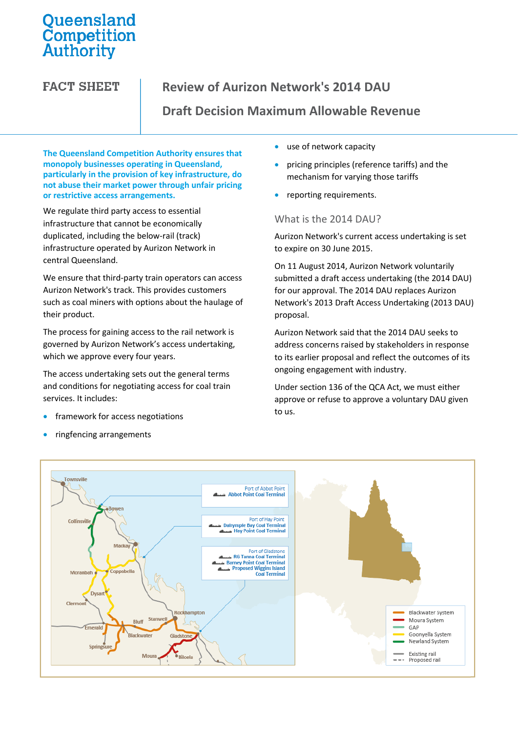# Queensland<br>Competition<br>Authority

**FACT SHEET** 

# **Review of Aurizon Network's 2014 DAU**

## **Draft Decision Maximum Allowable Revenue**

**The Queensland Competition Authority ensures that monopoly businesses operating in Queensland, particularly in the provision of key infrastructure, do not abuse their market power through unfair pricing or restrictive access arrangements.**

We regulate third party access to essential infrastructure that cannot be economically duplicated, including the below-rail (track) infrastructure operated by Aurizon Network in central Queensland.

We ensure that third-party train operators can access Aurizon Network's track. This provides customers such as coal miners with options about the haulage of their product.

The process for gaining access to the rail network is governed by Aurizon Network's access undertaking, which we approve every four years.

The access undertaking sets out the general terms and conditions for negotiating access for coal train services. It includes:

- framework for access negotiations
- ringfencing arrangements
- use of network capacity
- pricing principles (reference tariffs) and the mechanism for varying those tariffs
- reporting requirements.

#### What is the 2014 DAU?

Aurizon Network's current access undertaking is set to expire on 30 June 2015.

On 11 August 2014, Aurizon Network voluntarily submitted a draft access undertaking (the 2014 DAU) for our approval. The 2014 DAU replaces Aurizon Network's 2013 Draft Access Undertaking (2013 DAU) proposal.

Aurizon Network said that the 2014 DAU seeks to address concerns raised by stakeholders in response to its earlier proposal and reflect the outcomes of its ongoing engagement with industry.

Under section 136 of the QCA Act, we must either approve or refuse to approve a voluntary DAU given to us.

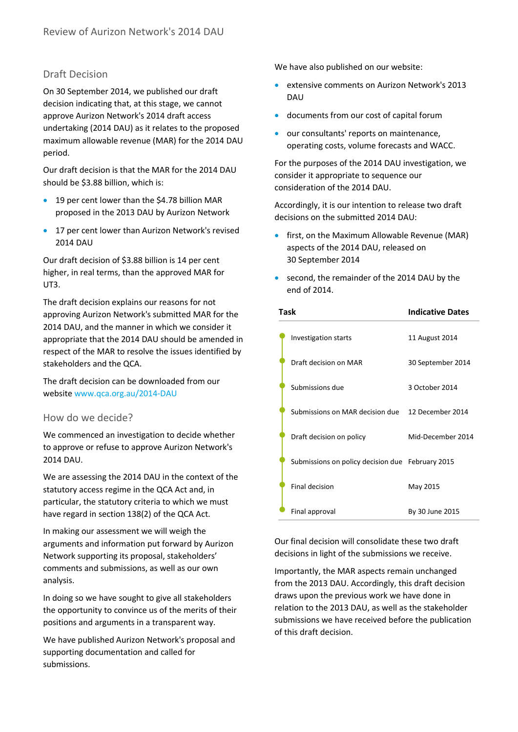## Draft Decision

On 30 September 2014, we published our draft decision indicating that, at this stage, we cannot approve Aurizon Network's 2014 draft access undertaking (2014 DAU) as it relates to the proposed maximum allowable revenue (MAR) for the 2014 DAU period.

Our draft decision is that the MAR for the 2014 DAU should be \$3.88 billion, which is:

- 19 per cent lower than the \$4.78 billion MAR proposed in the 2013 DAU by Aurizon Network
- 17 per cent lower than Aurizon Network's revised 2014 DAU

Our draft decision of \$3.88 billion is 14 per cent higher, in real terms, than the approved MAR for UT3.

The draft decision explains our reasons for not approving Aurizon Network's submitted MAR for the 2014 DAU, and the manner in which we consider it appropriate that the 2014 DAU should be amended in respect of the MAR to resolve the issues identified by stakeholders and the QCA.

The draft decision can be downloaded from our websit[e www.qca.org.au/](http://www.qca.org.au/)2014-DAU

#### How do we decide?

We commenced an investigation to decide whether to approve or refuse to approve Aurizon Network's 2014 DAU.

We are assessing the 2014 DAU in the context of the statutory access regime in the QCA Act and, in particular, the statutory criteria to which we must have regard in section 138(2) of the QCA Act.

In making our assessment we will weigh the arguments and information put forward by Aurizon Network supporting its proposal, stakeholders' comments and submissions, as well as our own analysis.

In doing so we have sought to give all stakeholders the opportunity to convince us of the merits of their positions and arguments in a transparent way.

We have published Aurizon Network's proposal and supporting documentation and called for submissions.

We have also published on our website:

- extensive comments on Aurizon Network's 2013 DAU
- documents from our cost of capital forum
- our consultants' reports on maintenance, operating costs, volume forecasts and WACC.

For the purposes of the 2014 DAU investigation, we consider it appropriate to sequence our consideration of the 2014 DAU.

Accordingly, it is our intention to release two draft decisions on the submitted 2014 DAU:

- first, on the Maximum Allowable Revenue (MAR) aspects of the 2014 DAU, released on 30 September 2014
- second, the remainder of the 2014 DAU by the end of 2014.

| Task |                                                  | <b>Indicative Dates</b> |
|------|--------------------------------------------------|-------------------------|
|      | Investigation starts                             | 11 August 2014          |
|      | Draft decision on MAR                            | 30 September 2014       |
|      | Submissions due                                  | 3 October 2014          |
|      | Submissions on MAR decision due                  | 12 December 2014        |
|      | Draft decision on policy                         | Mid-December 2014       |
|      | Submissions on policy decision due February 2015 |                         |
|      | Final decision                                   | May 2015                |
|      | Final approval                                   | By 30 June 2015         |

Our final decision will consolidate these two draft decisions in light of the submissions we receive.

Importantly, the MAR aspects remain unchanged from the 2013 DAU. Accordingly, this draft decision draws upon the previous work we have done in relation to the 2013 DAU, as well as the stakeholder submissions we have received before the publication of this draft decision.